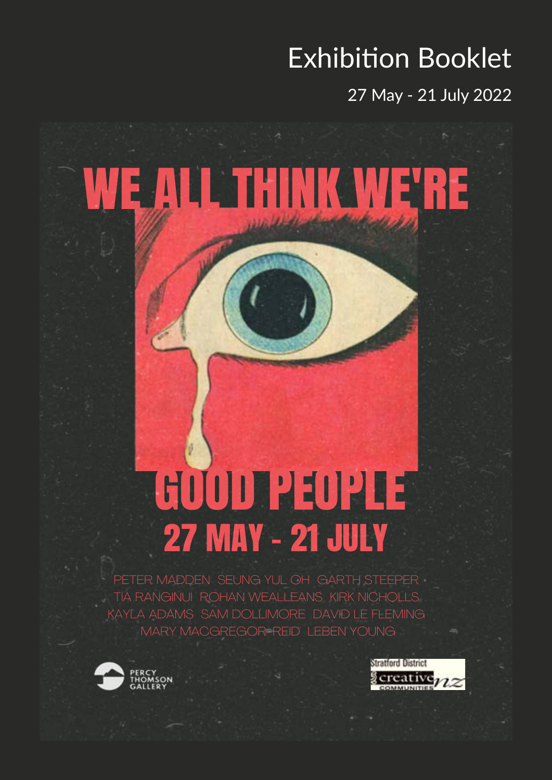### Exhibition Booklet

27 May - 21 July 2022

# WE ALL THINK WE'RE

## 27 MAY – 21 JULY **GOOD PEOPLE**

PETER MADDEN SEUNG YUL OH GARTH STEEPER TIA RANGINUI ROHAN WEALLEANS KIRK NICHOLLS KAYLA ADAMS SAM DOLLIMORE DAVID LE FLEMING MARY MACGREGOR-REID LEBEN YOUNG



**Stratford District** reative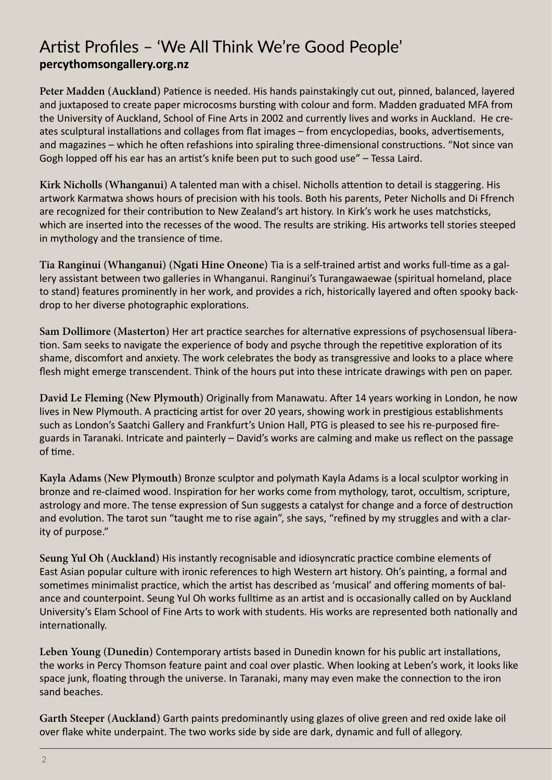#### Artist Profiles – 'We All Think We're Good People' **percythomsongallery.org.nz**

**Peter Madden (Auckland)** Patience is needed. His hands painstakingly cut out, pinned, balanced, layered and juxtaposed to create paper microcosms bursting with colour and form. Madden graduated MFA from the University of Auckland, School of Fine Arts in 2002 and currently lives and works in Auckland. He creates sculptural installations and collages from flat images – from encyclopedias, books, advertisements, and magazines – which he often refashions into spiraling three-dimensional constructions. "Not since van Gogh lopped off his ear has an artist's knife been put to such good use" – Tessa Laird.

**Kirk Nicholls (Whanganui)** A talented man with a chisel. Nicholls attention to detail is staggering. His artwork Karmatwa shows hours of precision with his tools. Both his parents, Peter Nicholls and Di Ffrench are recognized for their contribution to New Zealand's art history. In Kirk's work he uses matchsticks, which are inserted into the recesses of the wood. The results are striking. His artworks tell stories steeped in mythology and the transience of time.

**Tia Ranginui (Whanganui) (Ngati Hine Oneone)** Tia is a self-trained artist and works full-time as a gallery assistant between two galleries in Whanganui. Ranginui's Turangawaewae (spiritual homeland, place to stand) features prominently in her work, and provides a rich, historically layered and often spooky backdrop to her diverse photographic explorations.

**Sam Dollimore (Masterton)** Her art practice searches for alternative expressions of psychosensual liberation. Sam seeks to navigate the experience of body and psyche through the repetitive exploration of its shame, discomfort and anxiety. The work celebrates the body as transgressive and looks to a place where flesh might emerge transcendent. Think of the hours put into these intricate drawings with pen on paper.

**David Le Fleming (New Plymouth)** Originally from Manawatu. After 14 years working in London, he now lives in New Plymouth. A practicing artist for over 20 years, showing work in prestigious establishments such as London's Saatchi Gallery and Frankfurt's Union Hall, PTG is pleased to see his re-purposed fireguards in Taranaki. Intricate and painterly – David's works are calming and make us reflect on the passage of time.

**Kayla Adams (New Plymouth)** Bronze sculptor and polymath Kayla Adams is a local sculptor working in bronze and re-claimed wood. Inspiration for her works come from mythology, tarot, occultism, scripture, astrology and more. The tense expression of Sun suggests a catalyst for change and a force of destruction and evolution. The tarot sun "taught me to rise again", she says, "refined by my struggles and with a clarity of purpose."

**Seung Yul Oh (Auckland)** His instantly recognisable and idiosyncratic practice combine elements of East Asian popular culture with ironic references to high Western art history. Oh's painting, a formal and sometimes minimalist practice, which the artist has described as 'musical' and offering moments of balance and counterpoint. Seung Yul Oh works fulltime as an artist and is occasionally called on by Auckland University's Elam School of Fine Arts to work with students. His works are represented both nationally and internationally.

**Leben Young (Dunedin)** Contemporary artists based in Dunedin known for his public art installations, the works in Percy Thomson feature paint and coal over plastic. When looking at Leben's work, it looks like space junk, floating through the universe. In Taranaki, many may even make the connection to the iron sand beaches.

**Garth Steeper (Auckland)** Garth paints predominantly using glazes of olive green and red oxide lake oil over flake white underpaint. The two works side by side are dark, dynamic and full of allegory.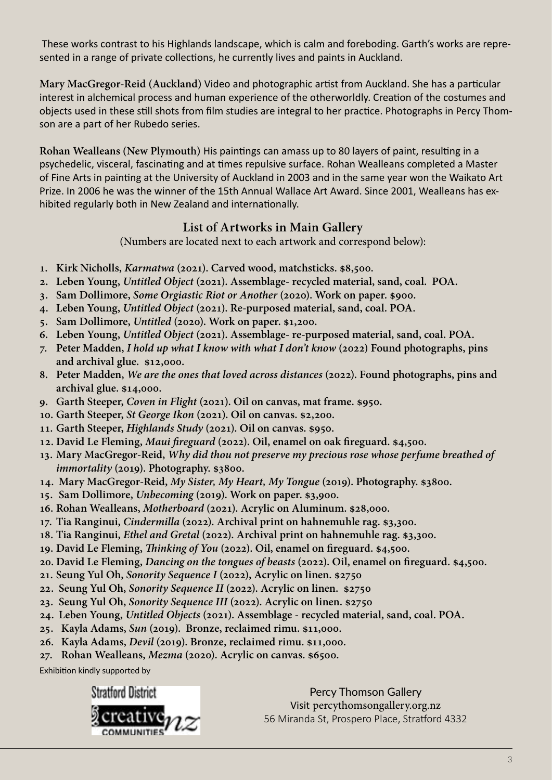These works contrast to his Highlands landscape, which is calm and foreboding. Garth's works are represented in a range of private collections, he currently lives and paints in Auckland.

**Mary MacGregor-Reid (Auckland)** Video and photographic artist from Auckland. She has a particular interest in alchemical process and human experience of the otherworldly. Creation of the costumes and objects used in these still shots from film studies are integral to her practice. Photographs in Percy Thomson are a part of her Rubedo series.

**Rohan Wealleans (New Plymouth)** His paintings can amass up to 80 layers of paint, resulting in a psychedelic, visceral, fascinating and at times repulsive surface. Rohan Wealleans completed a Master of Fine Arts in painting at the University of Auckland in 2003 and in the same year won the Waikato Art Prize. In 2006 he was the winner of the 15th Annual Wallace Art Award. Since 2001, Wealleans has exhibited regularly both in New Zealand and internationally.

#### **List of Artworks in Main Gallery**

(Numbers are located next to each artwork and correspond below):

- **1. Kirk Nicholls,** *Karmatwa* **(2021). Carved wood, matchsticks. \$8,500.**
- **2. Leben Young,** *Untitled Object* **(2021). Assemblage- recycled material, sand, coal. POA.**
- **3. Sam Dollimore,** *Some Orgiastic Riot or Another* **(2020). Work on paper. \$900.**
- **4. Leben Young,** *Untitled Object* **(2021). Re-purposed material, sand, coal. POA.**
- **5. Sam Dollimore,** *Untitled* **(2020). Work on paper. \$1,200.**
- **6. Leben Young,** *Untitled Object* **(2021). Assemblage- re-purposed material, sand, coal. POA.**
- **7. Peter Madden,** *I hold up what I know with what I don't know* **(2022) Found photographs, pins and archival glue. \$12,000.**
- **8. Peter Madden,** *We are the ones that loved across distances* **(2022). Found photographs, pins and archival glue. \$14,000.**
- **9. Garth Steeper,** *Coven in Flight* **(2021). Oil on canvas, mat frame. \$950.**
- **10. Garth Steeper,** *St George Ikon* **(2021). Oil on canvas. \$2,200.**
- **11. Garth Steeper,** *Highlands Study* **(2021). Oil on canvas. \$950.**
- **12. David Le Fleming,** *Maui fireguard* **(2022). Oil, enamel on oak fireguard. \$4,500.**
- **13. Mary MacGregor-Reid,** *Why did thou not preserve my precious rose whose perfume breathed of immortality* **(2019). Photography. \$3800.**
- **14. Mary MacGregor-Reid,** *My Sister, My Heart, My Tongue* **(2019). Photography. \$3800.**
- **15. Sam Dollimore,** *Unbecoming* **(2019). Work on paper. \$3,900.**
- **16. Rohan Wealleans,** *Motherboard* **(2021). Acrylic on Aluminum. \$28,000.**
- **17. Tia Ranginui,** *Cindermilla* **(2022). Archival print on hahnemuhle rag. \$3,300.**
- **18. Tia Ranginui,** *Ethel and Gretal* **(2022). Archival print on hahnemuhle rag. \$3,300.**
- **19. David Le Fleming,** *Thinking of You* **(2022). Oil, enamel on fireguard. \$4,500.**
- **20. David Le Fleming,** *Dancing on the tongues of beasts* **(2022). Oil, enamel on fireguard. \$4,500.**
- **21. Seung Yul Oh,** *Sonority Sequence I* **(2022), Acrylic on linen. \$2750**
- **22. Seung Yul Oh,** *Sonority Sequence II* **(2022). Acrylic on linen. \$2750**
- **23. Seung Yul Oh,** *Sonority Sequence III* **(2022). Acrylic on linen. \$2750**
- **24. Leben Young,** *Untitled Objects* **(2021). Assemblage recycled material, sand, coal. POA.**
- **25. Kayla Adams,** *Sun* **(2019). Bronze, reclaimed rimu. \$11,000.**
- **26. Kayla Adams,** *Devil* **(2019). Bronze, reclaimed rimu. \$11,000.**
- **27. Rohan Wealleans,** *Mezma* **(2020). Acrylic on canvas. \$6500.**

Exhibition kindly supported by

**Stratford District** 



Percy Thomson Gallery Visit percythomsongallery.org.nz 56 Miranda St, Prospero Place, Stratford 4332